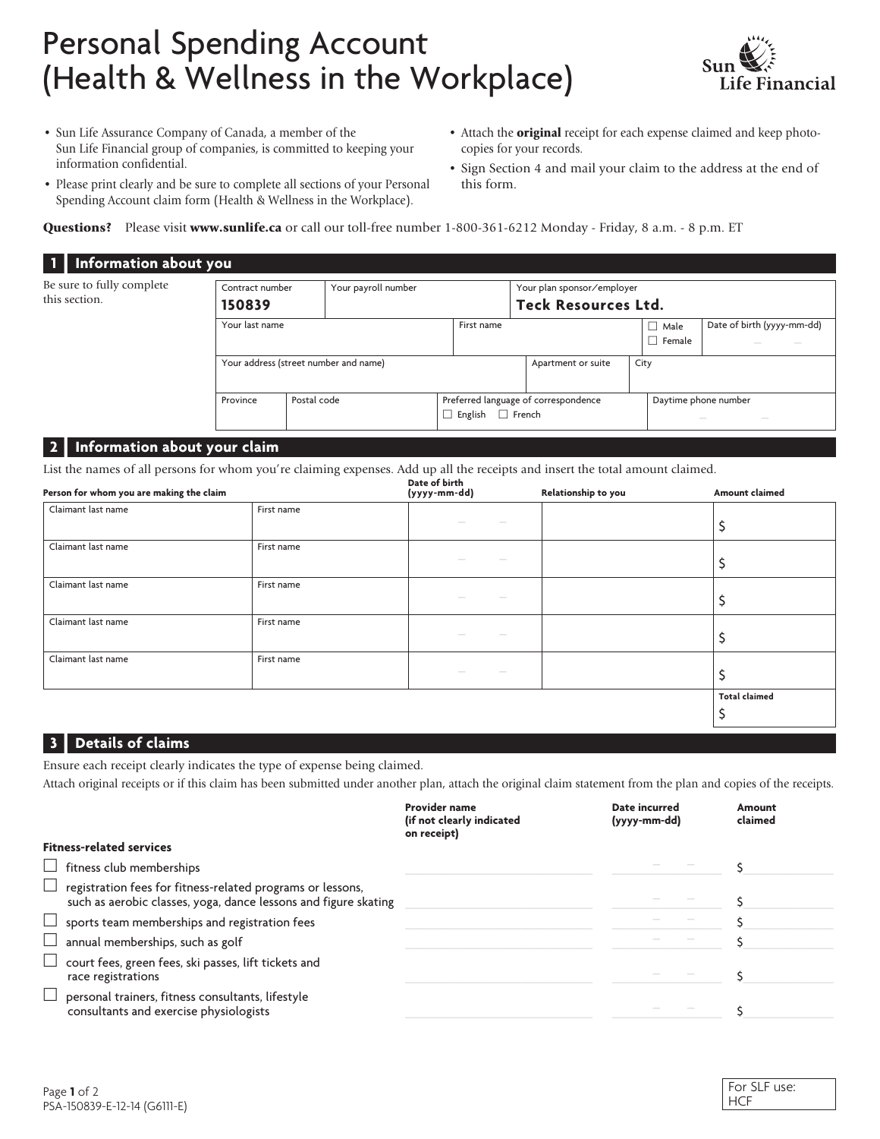## Personal Spending Account (Health & Wellness in the Workplace)



- Sun Life Assurance Company of Canada, a member of the Sun Life Financial group of companies, is committed to keeping your information confidential.
- Please print clearly and be sure to complete all sections of your Personal Spending Account claim form (Health & Wellness in the Workplace).
- Attach the **original** receipt for each expense claimed and keep photocopies for your records.
- Sign Section 4 and mail your claim to the address at the end of this form.

Questions? Please visit www.sunlife.ca or call our toll-free number 1-800-361-6212 Monday - Friday, 8 a.m. - 8 p.m. ET

| 1   Information about you                  |                                       |                     |  |                                                                         |                    |                                                                                                                                                                                                                                                                                                                                                                                                                                                                                                                                                                                                                                                                                                                                                                                                                                                                                                                                                                                  |                              |                            |  |
|--------------------------------------------|---------------------------------------|---------------------|--|-------------------------------------------------------------------------|--------------------|----------------------------------------------------------------------------------------------------------------------------------------------------------------------------------------------------------------------------------------------------------------------------------------------------------------------------------------------------------------------------------------------------------------------------------------------------------------------------------------------------------------------------------------------------------------------------------------------------------------------------------------------------------------------------------------------------------------------------------------------------------------------------------------------------------------------------------------------------------------------------------------------------------------------------------------------------------------------------------|------------------------------|----------------------------|--|
| Be sure to fully complete<br>this section. | Contract number<br>150839             | Your payroll number |  |                                                                         |                    | Your plan sponsor/employer<br><b>Teck Resources Ltd.</b>                                                                                                                                                                                                                                                                                                                                                                                                                                                                                                                                                                                                                                                                                                                                                                                                                                                                                                                         |                              |                            |  |
|                                            |                                       | Your last name      |  | First name                                                              |                    |                                                                                                                                                                                                                                                                                                                                                                                                                                                                                                                                                                                                                                                                                                                                                                                                                                                                                                                                                                                  | $\Box$ Male<br>$\Box$ Female | Date of birth (yyyy-mm-dd) |  |
|                                            | Your address (street number and name) |                     |  |                                                                         | Apartment or suite | City                                                                                                                                                                                                                                                                                                                                                                                                                                                                                                                                                                                                                                                                                                                                                                                                                                                                                                                                                                             |                              |                            |  |
|                                            | Province                              | Postal code         |  | Preferred language of correspondence<br>$\Box$ French<br>$\Box$ English |                    | Daytime phone number<br>$\frac{1}{2} \left( \frac{1}{2} \right) \left( \frac{1}{2} \right) \left( \frac{1}{2} \right) \left( \frac{1}{2} \right) \left( \frac{1}{2} \right) \left( \frac{1}{2} \right) \left( \frac{1}{2} \right) \left( \frac{1}{2} \right) \left( \frac{1}{2} \right) \left( \frac{1}{2} \right) \left( \frac{1}{2} \right) \left( \frac{1}{2} \right) \left( \frac{1}{2} \right) \left( \frac{1}{2} \right) \left( \frac{1}{2} \right) \left( \frac{1}{2} \right) \left( \frac$<br>$\frac{1}{2} \left( \frac{1}{2} \right) \left( \frac{1}{2} \right) \left( \frac{1}{2} \right) \left( \frac{1}{2} \right) \left( \frac{1}{2} \right) \left( \frac{1}{2} \right) \left( \frac{1}{2} \right) \left( \frac{1}{2} \right) \left( \frac{1}{2} \right) \left( \frac{1}{2} \right) \left( \frac{1}{2} \right) \left( \frac{1}{2} \right) \left( \frac{1}{2} \right) \left( \frac{1}{2} \right) \left( \frac{1}{2} \right) \left( \frac{1}{2} \right) \left( \frac$ |                              |                            |  |

## **2 | Information about your claim**

List the names of all persons for whom you're claiming expenses. Add up all the receipts and insert the total amount claimed.

| Person for whom you are making the claim |            | Date of birth<br>(yyyy-mm-dd) | Relationship to you | Amount claimed       |
|------------------------------------------|------------|-------------------------------|---------------------|----------------------|
| Claimant last name                       | First name | $\sim$                        |                     |                      |
| Claimant last name                       | First name |                               |                     | ∍                    |
| Claimant last name                       | First name | $\sim$                        |                     |                      |
| Claimant last name                       | First name | $\sim$                        |                     |                      |
| Claimant last name                       | First name | -                             |                     | ১                    |
|                                          |            |                               |                     | <b>Total claimed</b> |

## **3 | Details of claims**

Ensure each receipt clearly indicates the type of expense being claimed.

Attach original receipts or if this claim has been submitted under another plan, attach the original claim statement from the plan and copies of the receipts.

|                                                                                                                                      | <b>Provider name</b><br>(if not clearly indicated<br>on receipt) | Date incurred<br>(yyyy-mm-dd) | Amount<br>claimed |
|--------------------------------------------------------------------------------------------------------------------------------------|------------------------------------------------------------------|-------------------------------|-------------------|
| <b>Fitness-related services</b>                                                                                                      |                                                                  |                               |                   |
| $\Box$ fitness club memberships                                                                                                      |                                                                  |                               |                   |
| $\Box$ registration fees for fitness-related programs or lessons,<br>such as aerobic classes, yoga, dance lessons and figure skating |                                                                  |                               |                   |
| $\Box$ sports team memberships and registration fees                                                                                 |                                                                  |                               |                   |
| $\Box$ annual memberships, such as golf                                                                                              |                                                                  |                               |                   |
| $\Box$ court fees, green fees, ski passes, lift tickets and<br>race registrations                                                    |                                                                  |                               |                   |
| $\Box$ personal trainers, fitness consultants, lifestyle<br>consultants and exercise physiologists                                   |                                                                  |                               |                   |